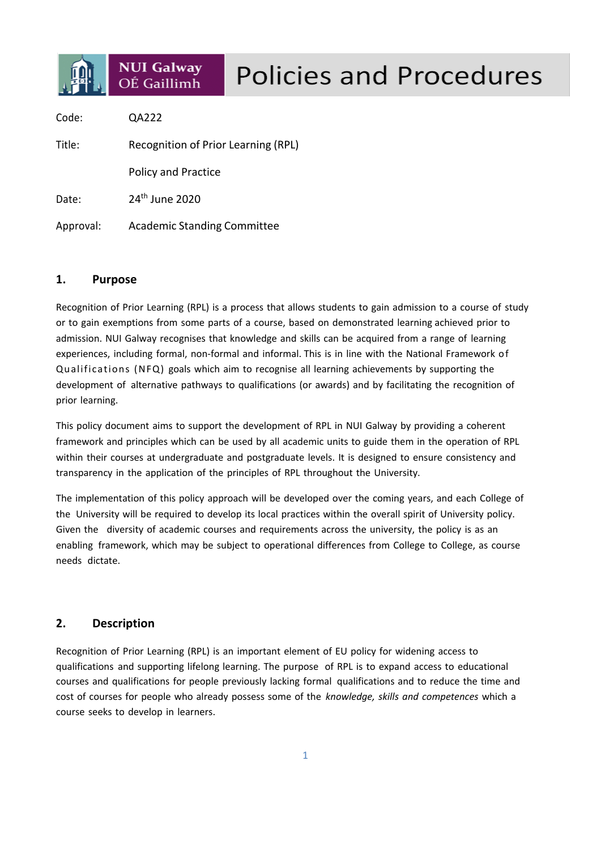

# **Policies and Procedures**

Code: QA222 Title: Recognition of Prior Learning (RPL) Policy and Practice Date: 24<sup>th</sup> June 2020 Approval: Academic Standing Committee

## **1. Purpose**

Recognition of Prior Learning (RPL) is a process that allows students to gain admission to a course of study or to gain exemptions from some parts of a course, based on demonstrated learning achieved prior to admission. NUI Galway recognises that knowledge and skills can be acquired from a range of learning experiences, including formal, non-formal and informal. This is in line with the National Framework of Qualifications (NFQ) goals which aim to recognise all learning achievements by supporting the development of alternative pathways to qualifications (or awards) and by facilitating the recognition of prior learning.

This policy document aims to support the development of RPL in NUI Galway by providing a coherent framework and principles which can be used by all academic units to guide them in the operation of RPL within their courses at undergraduate and postgraduate levels. It is designed to ensure consistency and transparency in the application of the principles of RPL throughout the University.

The implementation of this policy approach will be developed over the coming years, and each College of the University will be required to develop its local practices within the overall spirit of University policy. Given the diversity of academic courses and requirements across the university, the policy is as an enabling framework, which may be subject to operational differences from College to College, as course needs dictate.

# **2. Description**

Recognition of Prior Learning (RPL) is an important element of EU policy for widening access to qualifications and supporting lifelong learning. The purpose of RPL is to expand access to educational courses and qualifications for people previously lacking formal qualifications and to reduce the time and cost of courses for people who already possess some of the *knowledge, skills and competences* which a course seeks to develop in learners.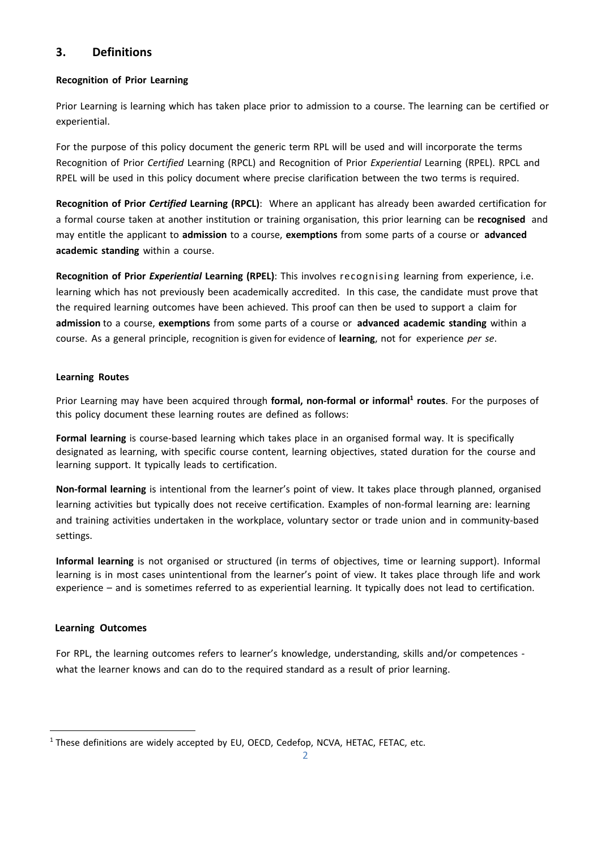## **3. Definitions**

## **Recognition of Prior Learning**

Prior Learning is learning which has taken place prior to admission to a course. The learning can be certified or experiential.

For the purpose of this policy document the generic term RPL will be used and will incorporate the terms Recognition of Prior *Certified* Learning (RPCL) and Recognition of Prior *Experiential* Learning (RPEL). RPCL and RPEL will be used in this policy document where precise clarification between the two terms is required.

**Recognition of Prior** *Certified* **Learning (RPCL)**: Where an applicant has already been awarded certification for a formal course taken at another institution or training organisation, this prior learning can be **recognised** and may entitle the applicant to **admission** to a course, **exemptions** from some parts of a course or **advanced academic standing** within a course.

**Recognition of Prior** *Experiential* **Learning (RPEL)**: This involves recognising learning from experience, i.e. learning which has not previously been academically accredited. In this case, the candidate must prove that the required learning outcomes have been achieved. This proof can then be used to support a claim for **admission** to a course, **exemptions** from some parts of a course or **advanced academic standing** within a course. As a general principle, recognition is given for evidence of **learning**, not for experience *per se*.

## **Learning Routes**

Prior Learning may have been acquired through **formal, non-formal or informal1 routes**. For the purposes of this policy document these learning routes are defined as follows:

**Formal learning** is course-based learning which takes place in an organised formal way. It is specifically designated as learning, with specific course content, learning objectives, stated duration for the course and learning support. It typically leads to certification.

**Non-formal learning** is intentional from the learner's point of view. It takes place through planned, organised learning activities but typically does not receive certification. Examples of non-formal learning are: learning and training activities undertaken in the workplace, voluntary sector or trade union and in community-based settings.

**Informal learning** is not organised or structured (in terms of objectives, time or learning support). Informal learning is in most cases unintentional from the learner's point of view. It takes place through life and work experience – and is sometimes referred to as experiential learning. It typically does not lead to certification.

## **Learning Outcomes**

For RPL, the learning outcomes refers to learner's knowledge, understanding, skills and/or competences what the learner knows and can do to the required standard as a result of prior learning.

<sup>&</sup>lt;sup>1</sup> These definitions are widely accepted by EU, OECD, Cedefop, NCVA, HETAC, FETAC, etc.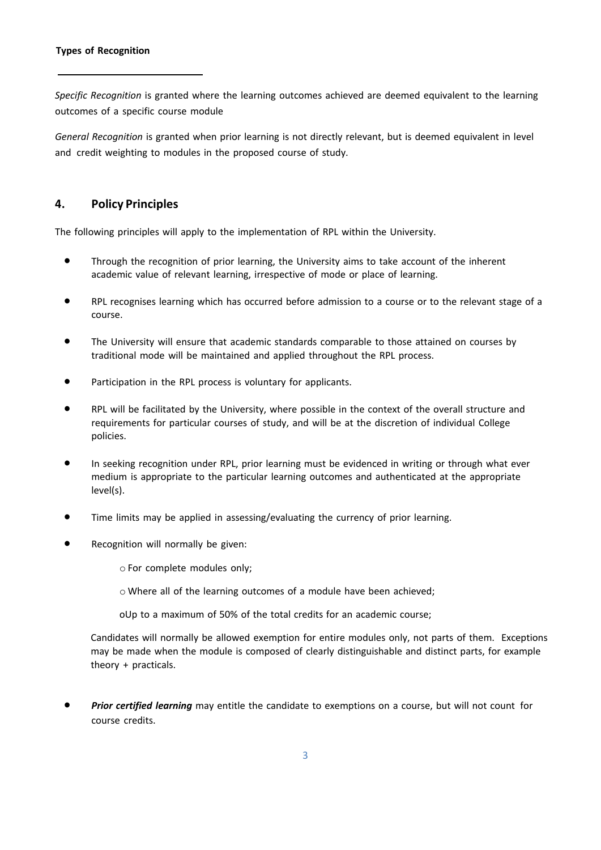*Specific Recognition* is granted where the learning outcomes achieved are deemed equivalent to the learning outcomes of a specific course module

*General Recognition* is granted when prior learning is not directly relevant, but is deemed equivalent in level and credit weighting to modules in the proposed course of study.

## **4. Policy Principles**

The following principles will apply to the implementation of RPL within the University.

- Through the recognition of prior learning, the University aims to take account of the inherent academic value of relevant learning, irrespective of mode or place of learning.
- RPL recognises learning which has occurred before admission to a course or to the relevant stage of a course.
- The University will ensure that academic standards comparable to those attained on courses by traditional mode will be maintained and applied throughout the RPL process.
- Participation in the RPL process is voluntary for applicants.
- RPL will be facilitated by the University, where possible in the context of the overall structure and requirements for particular courses of study, and will be at the discretion of individual College policies.
- In seeking recognition under RPL, prior learning must be evidenced in writing or through what ever medium is appropriate to the particular learning outcomes and authenticated at the appropriate level(s).
- Time limits may be applied in assessing/evaluating the currency of prior learning.
- Recognition will normally be given:

o For complete modules only;

o Where all of the learning outcomes of a module have been achieved;

oUp to a maximum of 50% of the total credits for an academic course;

Candidates will normally be allowed exemption for entire modules only, not parts of them. Exceptions may be made when the module is composed of clearly distinguishable and distinct parts, for example theory + practicals.

• *Prior certified learning* may entitle the candidate to exemptions on a course, but will not count for course credits.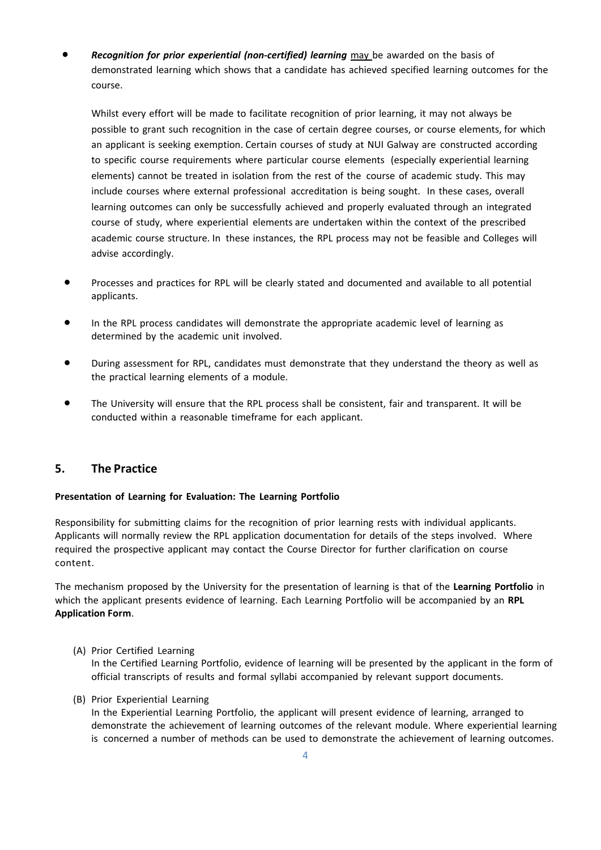• *Recognition for prior experiential (non-certified) learning* may be awarded on the basis of demonstrated learning which shows that a candidate has achieved specified learning outcomes for the course.

Whilst every effort will be made to facilitate recognition of prior learning, it may not always be possible to grant such recognition in the case of certain degree courses, or course elements, for which an applicant is seeking exemption. Certain courses of study at NUI Galway are constructed according to specific course requirements where particular course elements (especially experiential learning elements) cannot be treated in isolation from the rest of the course of academic study. This may include courses where external professional accreditation is being sought. In these cases, overall learning outcomes can only be successfully achieved and properly evaluated through an integrated course of study, where experiential elements are undertaken within the context of the prescribed academic course structure. In these instances, the RPL process may not be feasible and Colleges will advise accordingly.

- Processes and practices for RPL will be clearly stated and documented and available to all potential applicants.
- In the RPL process candidates will demonstrate the appropriate academic level of learning as determined by the academic unit involved.
- During assessment for RPL, candidates must demonstrate that they understand the theory as well as the practical learning elements of a module.
- The University will ensure that the RPL process shall be consistent, fair and transparent. It will be conducted within a reasonable timeframe for each applicant.

## **5. The Practice**

#### **Presentation of Learning for Evaluation: The Learning Portfolio**

Responsibility for submitting claims for the recognition of prior learning rests with individual applicants. Applicants will normally review the RPL application documentation for details of the steps involved. Where required the prospective applicant may contact the Course Director for further clarification on course content.

The mechanism proposed by the University for the presentation of learning is that of the **Learning Portfolio** in which the applicant presents evidence of learning. Each Learning Portfolio will be accompanied by an **RPL Application Form**.

(A) Prior Certified Learning

In the Certified Learning Portfolio, evidence of learning will be presented by the applicant in the form of official transcripts of results and formal syllabi accompanied by relevant support documents.

(B) Prior Experiential Learning

In the Experiential Learning Portfolio, the applicant will present evidence of learning, arranged to demonstrate the achievement of learning outcomes of the relevant module. Where experiential learning is concerned a number of methods can be used to demonstrate the achievement of learning outcomes.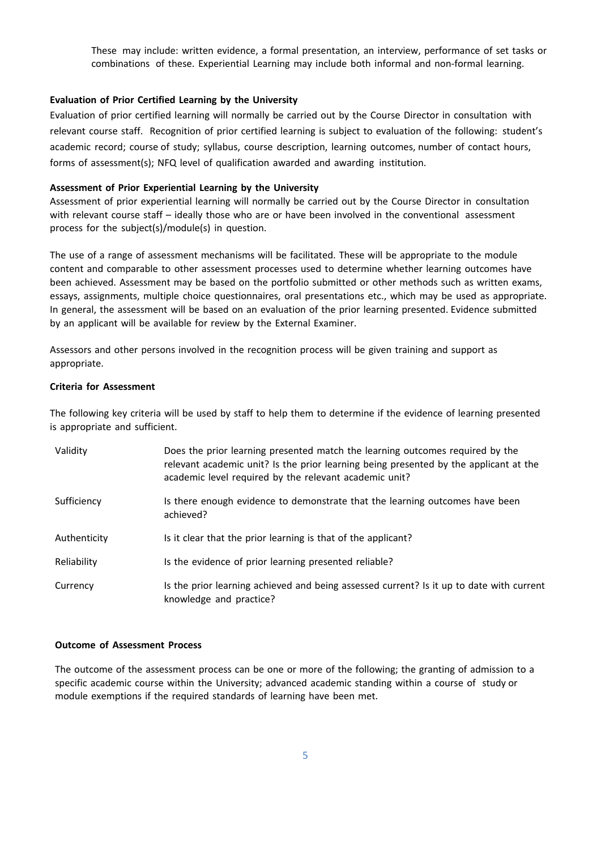These may include: written evidence, a formal presentation, an interview, performance of set tasks or combinations of these. Experiential Learning may include both informal and non-formal learning.

#### **Evaluation of Prior Certified Learning by the University**

Evaluation of prior certified learning will normally be carried out by the Course Director in consultation with relevant course staff. Recognition of prior certified learning is subject to evaluation of the following: student's academic record; course of study; syllabus, course description, learning outcomes, number of contact hours, forms of assessment(s); NFQ level of qualification awarded and awarding institution.

#### **Assessment of Prior Experiential Learning by the University**

Assessment of prior experiential learning will normally be carried out by the Course Director in consultation with relevant course staff – ideally those who are or have been involved in the conventional assessment process for the subject(s)/module(s) in question.

The use of a range of assessment mechanisms will be facilitated. These will be appropriate to the module content and comparable to other assessment processes used to determine whether learning outcomes have been achieved. Assessment may be based on the portfolio submitted or other methods such as written exams, essays, assignments, multiple choice questionnaires, oral presentations etc., which may be used as appropriate. In general, the assessment will be based on an evaluation of the prior learning presented. Evidence submitted by an applicant will be available for review by the External Examiner.

Assessors and other persons involved in the recognition process will be given training and support as appropriate.

#### **Criteria for Assessment**

The following key criteria will be used by staff to help them to determine if the evidence of learning presented is appropriate and sufficient.

| Validity     | Does the prior learning presented match the learning outcomes required by the<br>relevant academic unit? Is the prior learning being presented by the applicant at the<br>academic level required by the relevant academic unit? |
|--------------|----------------------------------------------------------------------------------------------------------------------------------------------------------------------------------------------------------------------------------|
| Sufficiency  | Is there enough evidence to demonstrate that the learning outcomes have been<br>achieved?                                                                                                                                        |
| Authenticity | Is it clear that the prior learning is that of the applicant?                                                                                                                                                                    |
| Reliability  | Is the evidence of prior learning presented reliable?                                                                                                                                                                            |
| Currency     | Is the prior learning achieved and being assessed current? Is it up to date with current<br>knowledge and practice?                                                                                                              |

#### **Outcome of Assessment Process**

The outcome of the assessment process can be one or more of the following; the granting of admission to a specific academic course within the University; advanced academic standing within a course of study or module exemptions if the required standards of learning have been met.